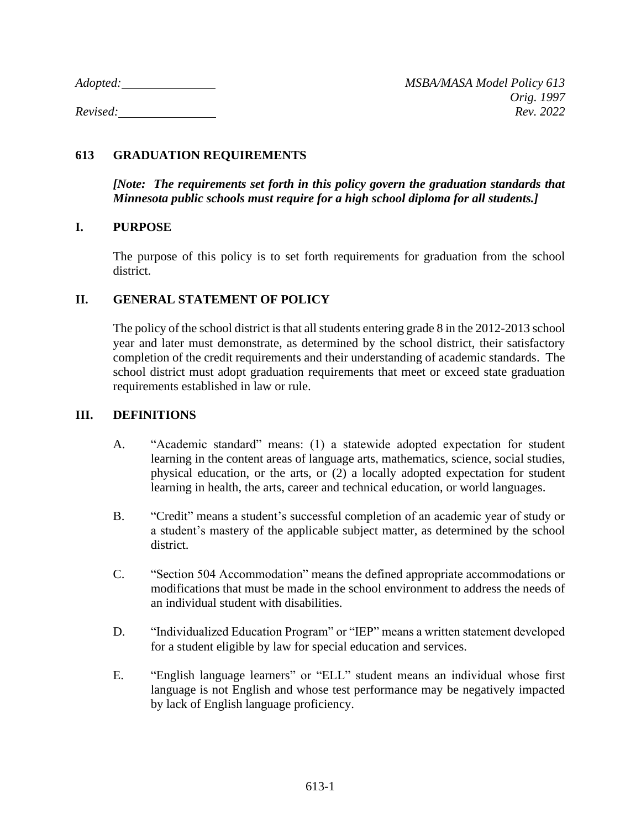*Adopted: MSBA/MASA Model Policy 613*

# **613 GRADUATION REQUIREMENTS**

*[Note: The requirements set forth in this policy govern the graduation standards that Minnesota public schools must require for a high school diploma for all students.]*

## **I. PURPOSE**

The purpose of this policy is to set forth requirements for graduation from the school district.

### **II. GENERAL STATEMENT OF POLICY**

The policy of the school district is that all students entering grade 8 in the 2012-2013 school year and later must demonstrate, as determined by the school district, their satisfactory completion of the credit requirements and their understanding of academic standards. The school district must adopt graduation requirements that meet or exceed state graduation requirements established in law or rule.

#### **III. DEFINITIONS**

- A. "Academic standard" means: (1) a statewide adopted expectation for student learning in the content areas of language arts, mathematics, science, social studies, physical education, or the arts, or (2) a locally adopted expectation for student learning in health, the arts, career and technical education, or world languages.
- B. "Credit" means a student's successful completion of an academic year of study or a student's mastery of the applicable subject matter, as determined by the school district.
- C. "Section 504 Accommodation" means the defined appropriate accommodations or modifications that must be made in the school environment to address the needs of an individual student with disabilities.
- D. "Individualized Education Program" or "IEP" means a written statement developed for a student eligible by law for special education and services.
- E. "English language learners" or "ELL" student means an individual whose first language is not English and whose test performance may be negatively impacted by lack of English language proficiency.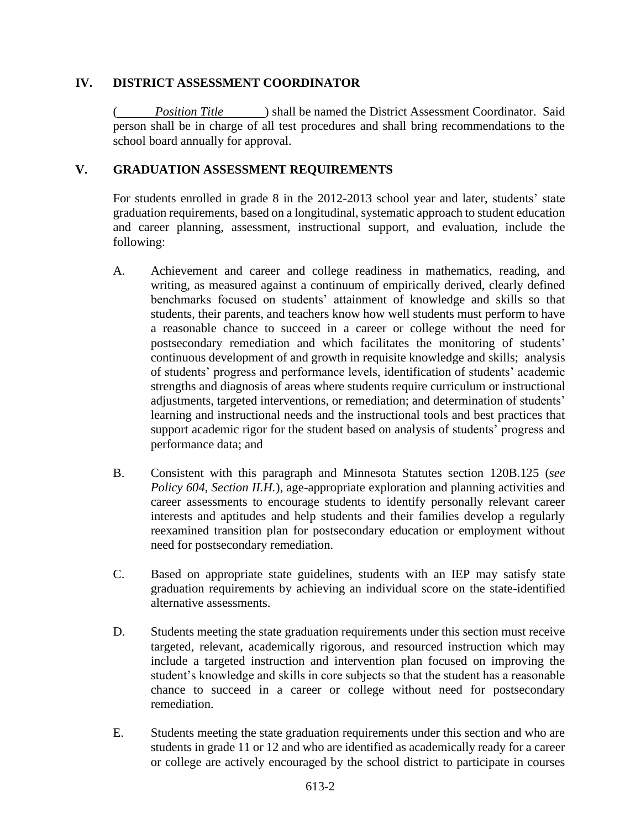## **IV. DISTRICT ASSESSMENT COORDINATOR**

( *Position Title* ) shall be named the District Assessment Coordinator. Said person shall be in charge of all test procedures and shall bring recommendations to the school board annually for approval.

#### **V. GRADUATION ASSESSMENT REQUIREMENTS**

For students enrolled in grade 8 in the 2012-2013 school year and later, students' state graduation requirements, based on a longitudinal, systematic approach to student education and career planning, assessment, instructional support, and evaluation, include the following:

- A. Achievement and career and college readiness in mathematics, reading, and writing, as measured against a continuum of empirically derived, clearly defined benchmarks focused on students' attainment of knowledge and skills so that students, their parents, and teachers know how well students must perform to have a reasonable chance to succeed in a career or college without the need for postsecondary remediation and which facilitates the monitoring of students' continuous development of and growth in requisite knowledge and skills; analysis of students' progress and performance levels, identification of students' academic strengths and diagnosis of areas where students require curriculum or instructional adjustments, targeted interventions, or remediation; and determination of students' learning and instructional needs and the instructional tools and best practices that support academic rigor for the student based on analysis of students' progress and performance data; and
- B. Consistent with this paragraph and Minnesota Statutes section 120B.125 (*see Policy 604, Section II.H.*), age-appropriate exploration and planning activities and career assessments to encourage students to identify personally relevant career interests and aptitudes and help students and their families develop a regularly reexamined transition plan for postsecondary education or employment without need for postsecondary remediation.
- C. Based on appropriate state guidelines, students with an IEP may satisfy state graduation requirements by achieving an individual score on the state-identified alternative assessments.
- D. Students meeting the state graduation requirements under this section must receive targeted, relevant, academically rigorous, and resourced instruction which may include a targeted instruction and intervention plan focused on improving the student's knowledge and skills in core subjects so that the student has a reasonable chance to succeed in a career or college without need for postsecondary remediation.
- E. Students meeting the state graduation requirements under this section and who are students in grade 11 or 12 and who are identified as academically ready for a career or college are actively encouraged by the school district to participate in courses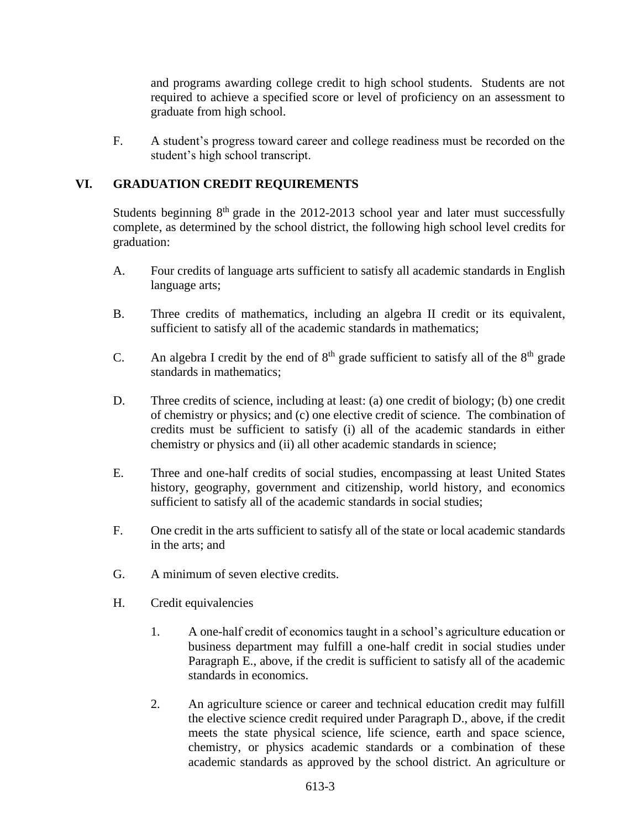and programs awarding college credit to high school students. Students are not required to achieve a specified score or level of proficiency on an assessment to graduate from high school.

F. A student's progress toward career and college readiness must be recorded on the student's high school transcript.

# **VI. GRADUATION CREDIT REQUIREMENTS**

Students beginning 8<sup>th</sup> grade in the 2012-2013 school year and later must successfully complete, as determined by the school district, the following high school level credits for graduation:

- A. Four credits of language arts sufficient to satisfy all academic standards in English language arts;
- B. Three credits of mathematics, including an algebra II credit or its equivalent, sufficient to satisfy all of the academic standards in mathematics;
- C. An algebra I credit by the end of  $8<sup>th</sup>$  grade sufficient to satisfy all of the  $8<sup>th</sup>$  grade standards in mathematics;
- D. Three credits of science, including at least: (a) one credit of biology; (b) one credit of chemistry or physics; and (c) one elective credit of science. The combination of credits must be sufficient to satisfy (i) all of the academic standards in either chemistry or physics and (ii) all other academic standards in science;
- E. Three and one-half credits of social studies, encompassing at least United States history, geography, government and citizenship, world history, and economics sufficient to satisfy all of the academic standards in social studies;
- F. One credit in the arts sufficient to satisfy all of the state or local academic standards in the arts; and
- G. A minimum of seven elective credits.
- H. Credit equivalencies
	- 1. A one-half credit of economics taught in a school's agriculture education or business department may fulfill a one-half credit in social studies under Paragraph E., above, if the credit is sufficient to satisfy all of the academic standards in economics.
	- 2. An agriculture science or career and technical education credit may fulfill the elective science credit required under Paragraph D., above, if the credit meets the state physical science, life science, earth and space science, chemistry, or physics academic standards or a combination of these academic standards as approved by the school district. An agriculture or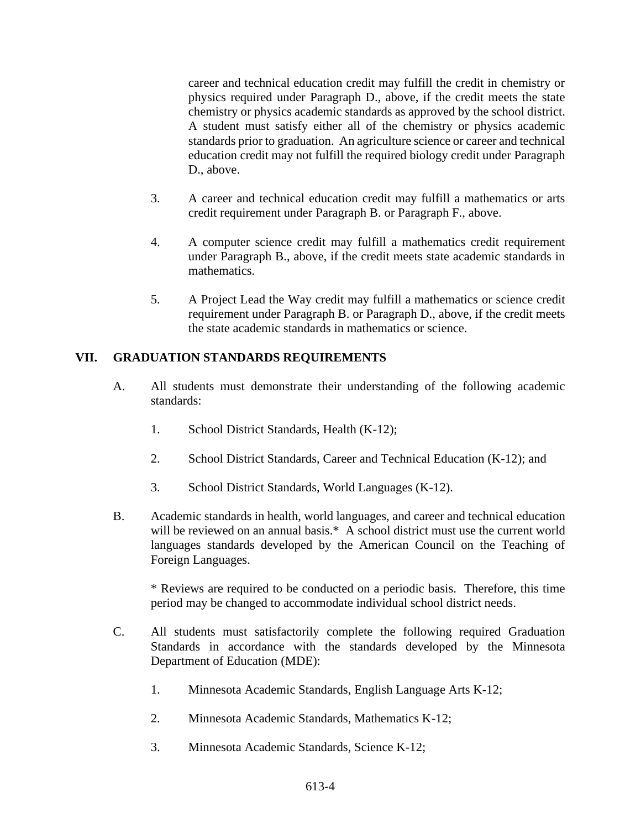career and technical education credit may fulfill the credit in chemistry or physics required under Paragraph D., above, if the credit meets the state chemistry or physics academic standards as approved by the school district. A student must satisfy either all of the chemistry or physics academic standards prior to graduation. An agriculture science or career and technical education credit may not fulfill the required biology credit under Paragraph D., above.

- 3. A career and technical education credit may fulfill a mathematics or arts credit requirement under Paragraph B. or Paragraph F., above.
- 4. A computer science credit may fulfill a mathematics credit requirement under Paragraph B., above, if the credit meets state academic standards in mathematics.
- 5. A Project Lead the Way credit may fulfill a mathematics or science credit requirement under Paragraph B. or Paragraph D., above, if the credit meets the state academic standards in mathematics or science.

# **VII. GRADUATION STANDARDS REQUIREMENTS**

- A. All students must demonstrate their understanding of the following academic standards:
	- 1. School District Standards, Health (K-12);
	- 2. School District Standards, Career and Technical Education (K-12); and
	- 3. School District Standards, World Languages (K-12).
- B. Academic standards in health, world languages, and career and technical education will be reviewed on an annual basis.\* A school district must use the current world languages standards developed by the American Council on the Teaching of Foreign Languages.

\* Reviews are required to be conducted on a periodic basis. Therefore, this time period may be changed to accommodate individual school district needs.

- C. All students must satisfactorily complete the following required Graduation Standards in accordance with the standards developed by the Minnesota Department of Education (MDE):
	- 1. Minnesota Academic Standards, English Language Arts K-12;
	- 2. Minnesota Academic Standards, Mathematics K-12;
	- 3. Minnesota Academic Standards, Science K-12;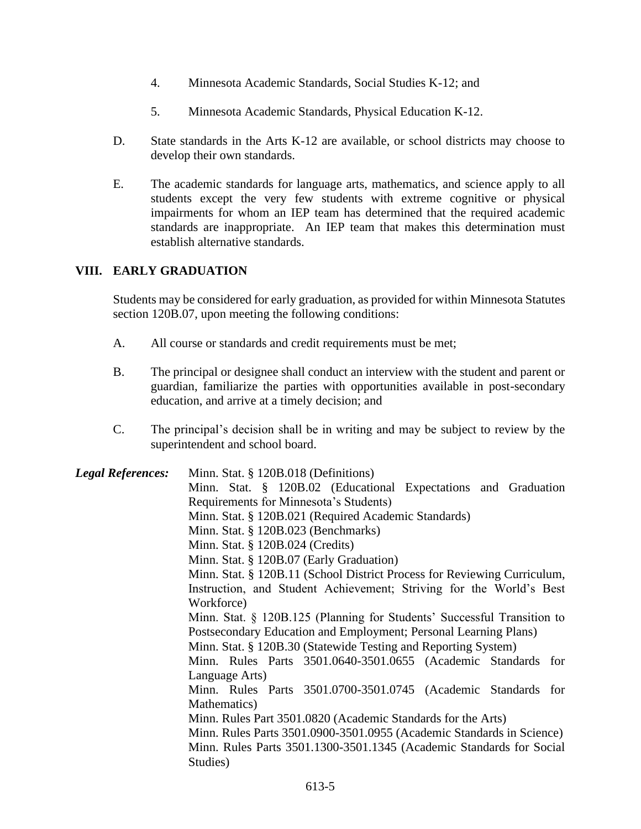- 4. Minnesota Academic Standards, Social Studies K-12; and
- 5. Minnesota Academic Standards, Physical Education K-12.
- D. State standards in the Arts K-12 are available, or school districts may choose to develop their own standards.
- E. The academic standards for language arts, mathematics, and science apply to all students except the very few students with extreme cognitive or physical impairments for whom an IEP team has determined that the required academic standards are inappropriate. An IEP team that makes this determination must establish alternative standards.

### **VIII. EARLY GRADUATION**

Students may be considered for early graduation, as provided for within Minnesota Statutes section 120B.07, upon meeting the following conditions:

- A. All course or standards and credit requirements must be met;
- B. The principal or designee shall conduct an interview with the student and parent or guardian, familiarize the parties with opportunities available in post-secondary education, and arrive at a timely decision; and
- C. The principal's decision shall be in writing and may be subject to review by the superintendent and school board.

*Legal References:* Minn. Stat. § 120B.018 (Definitions) Minn. Stat. § 120B.02 (Educational Expectations and Graduation Requirements for Minnesota's Students) Minn. Stat. § 120B.021 (Required Academic Standards) Minn. Stat. § 120B.023 (Benchmarks) Minn. Stat. § 120B.024 (Credits) Minn. Stat. § 120B.07 (Early Graduation) Minn. Stat. § 120B.11 (School District Process for Reviewing Curriculum, Instruction, and Student Achievement; Striving for the World's Best Workforce) Minn. Stat. § 120B.125 (Planning for Students' Successful Transition to Postsecondary Education and Employment; Personal Learning Plans) Minn. Stat. § 120B.30 (Statewide Testing and Reporting System) Minn. Rules Parts 3501.0640-3501.0655 (Academic Standards for Language Arts) Minn. Rules Parts 3501.0700-3501.0745 (Academic Standards for Mathematics) Minn. Rules Part 3501.0820 (Academic Standards for the Arts) Minn. Rules Parts 3501.0900-3501.0955 (Academic Standards in Science) Minn. Rules Parts 3501.1300-3501.1345 (Academic Standards for Social Studies)